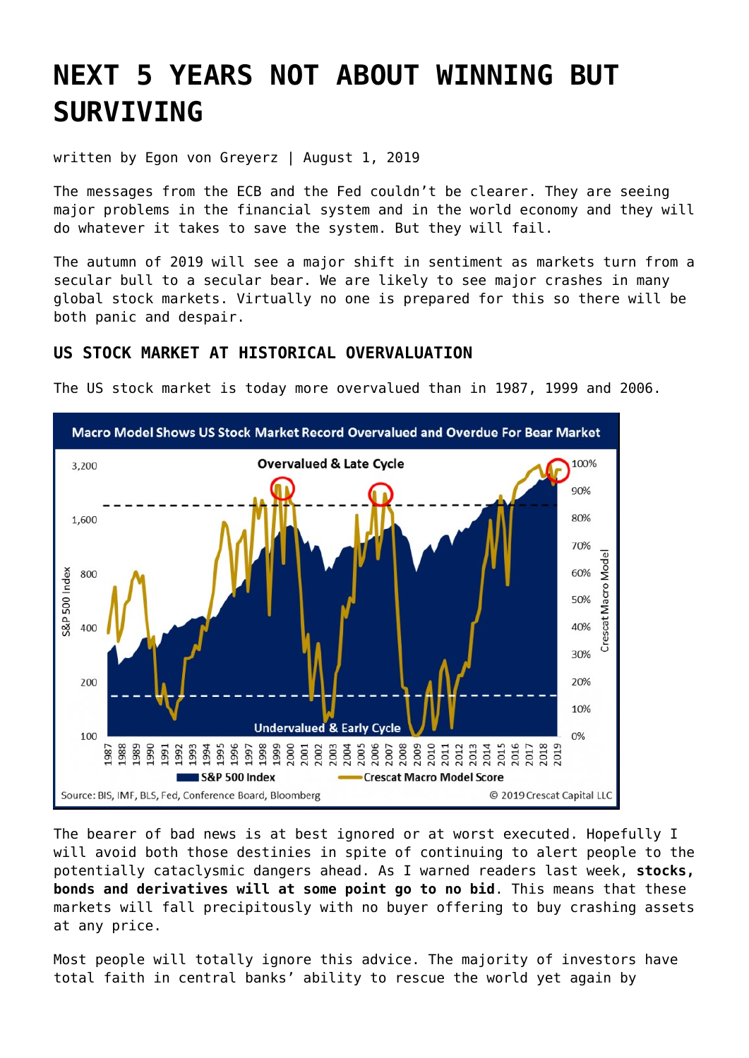# **[NEXT 5 YEARS NOT ABOUT WINNING BUT](https://goldswitzerland.com/next-5-years-not-about-winning-but-surviving/) [SURVIVING](https://goldswitzerland.com/next-5-years-not-about-winning-but-surviving/)**

written by Egon von Greyerz | August 1, 2019

The messages from the ECB and the Fed couldn't be clearer. They are seeing major problems in the financial system and in the world economy and they will do whatever it takes to save the system. But they will fail.

The autumn of 2019 will see a major shift in sentiment as markets turn from a secular bull to a secular bear. We are likely to see major crashes in many global stock markets. Virtually no one is prepared for this so there will be both panic and despair.

## **US STOCK MARKET AT HISTORICAL OVERVALUATION**

The US stock market is today more overvalued than in 1987, 1999 and 2006.



The bearer of bad news is at best ignored or at worst executed. Hopefully I will avoid both those destinies in spite of continuing to alert people to the potentially cataclysmic dangers ahead. As I warned readers [last week,](https://goldswitzerland.com/stocks-no-bid-gold-no-offer/) **stocks, bonds and derivatives will at some point go to no bid**. This means that these markets will fall precipitously with no buyer offering to buy crashing assets at any price.

Most people will totally ignore this advice. The majority of investors have total faith in central banks' ability to rescue the world yet again by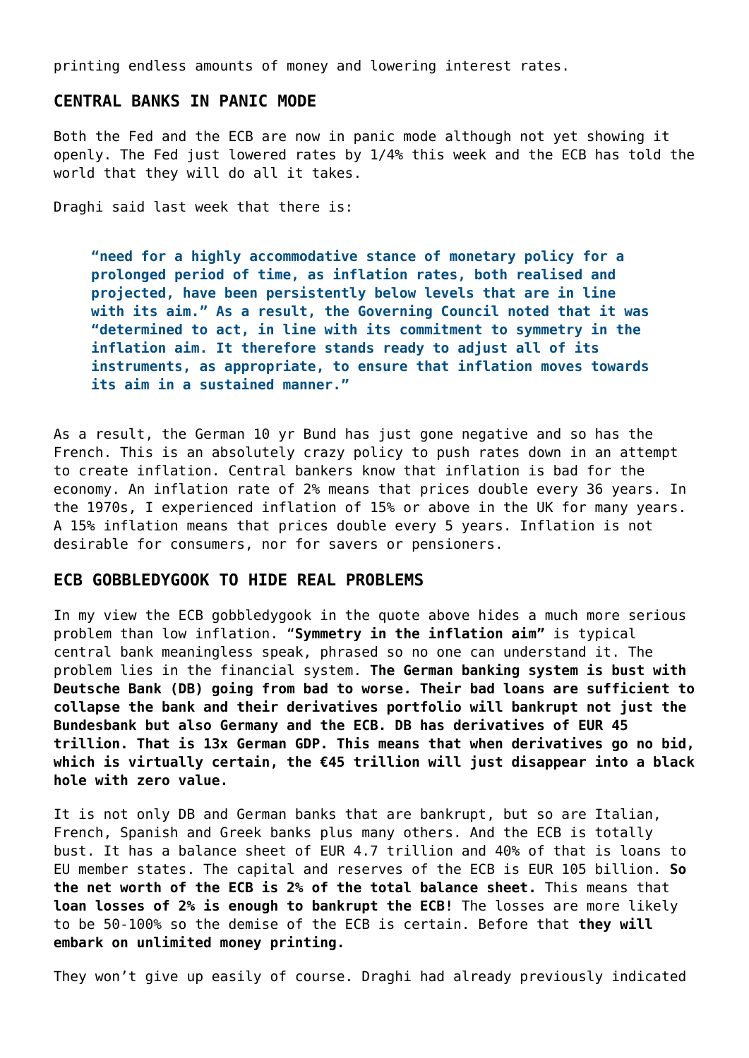printing endless amounts of money and lowering interest rates.

### **CENTRAL BANKS IN PANIC MODE**

Both the Fed and the ECB are now in panic mode although not yet showing it openly. The Fed just lowered rates by 1/4% this week and the ECB has told the world that they will do all it takes.

Draghi said last week that there is:

**"need for a highly accommodative stance of monetary policy for a prolonged period of time, as inflation rates, both realised and projected, have been persistently below levels that are in line with its aim." As a result, the Governing Council noted that it was "determined to act, in line with its commitment to symmetry in the inflation aim. It therefore stands ready to adjust all of its instruments, as appropriate, to ensure that inflation moves towards its aim in a sustained manner."**

As a result, the German 10 yr Bund has just gone negative and so has the French. This is an absolutely crazy policy to push rates down in an attempt to create inflation. Central bankers know that inflation is bad for the economy. An inflation rate of 2% means that prices double every 36 years. In the 1970s, I experienced inflation of 15% or above in the UK for many years. A 15% inflation means that prices double every 5 years. Inflation is not desirable for consumers, nor for savers or pensioners.

#### **ECB GOBBLEDYGOOK TO HIDE REAL PROBLEMS**

In my view the ECB gobbledygook in the quote above hides a much more serious problem than low inflation. "**Symmetry in the inflation aim"** is typical central bank meaningless speak, phrased so no one can understand it. The problem lies in the financial system. **The German banking system is bust with Deutsche Bank (DB) going from bad to worse. Their bad loans are sufficient to collapse the bank and their derivatives portfolio will bankrupt not just the Bundesbank but also Germany and the ECB. DB has derivatives of EUR 45 trillion. That is 13x German GDP. This means that when derivatives go no bid, which is virtually certain, the €45 trillion will just disappear into a black hole with zero value.**

It is not only DB and German banks that are bankrupt, but so are Italian, French, Spanish and Greek banks plus many others. And the ECB is totally bust. It has a balance sheet of EUR 4.7 trillion and 40% of that is loans to EU member states. The capital and reserves of the ECB is EUR 105 billion. **So the net worth of the ECB is 2% of the total balance sheet.** This means that **loan losses of 2% is enough to bankrupt the ECB!** The losses are more likely to be 50-100% so the demise of the ECB is certain. Before that **they will embark on unlimited money printing.**

They won't give up easily of course. Draghi had already previously indicated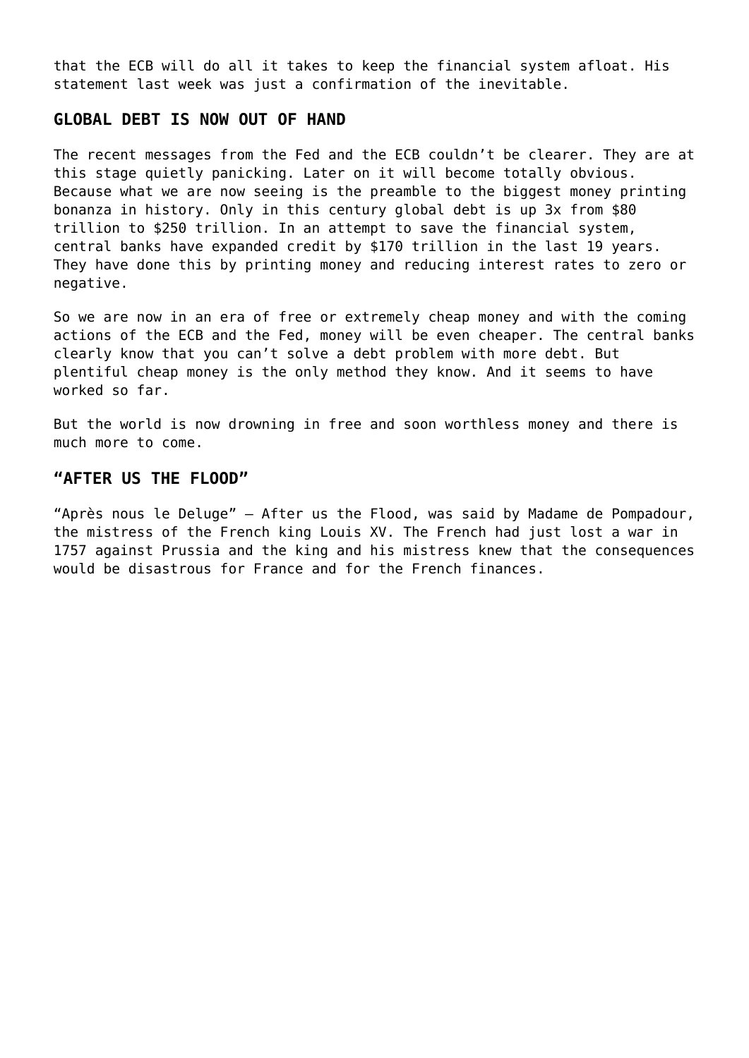that the ECB will do all it takes to keep the financial system afloat. His statement last week was just a confirmation of the inevitable.

## **GLOBAL DEBT IS NOW OUT OF HAND**

The recent messages from the Fed and the ECB couldn't be clearer. They are at this stage quietly panicking. Later on it will become totally obvious. Because what we are now seeing is the preamble to the biggest money printing bonanza in history. Only in this century global debt is up 3x from \$80 trillion to \$250 trillion. In an attempt to save the financial system, central banks have expanded credit by \$170 trillion in the last 19 years. They have done this by printing money and reducing interest rates to zero or negative.

So we are now in an era of free or extremely cheap money and with the coming actions of the ECB and the Fed, money will be even cheaper. The central banks clearly know that you can't solve a debt problem with more debt. But plentiful cheap money is the only method they know. And it seems to have worked so far.

But the world is now drowning in free and soon worthless money and there is much more to come.

## **"AFTER US THE FLOOD"**

"Après nous le Deluge" – After us the Flood, was said by Madame de Pompadour, the mistress of the French king Louis XV. The French had just lost a war in 1757 against Prussia and the king and his mistress knew that the consequences would be disastrous for France and for the French finances.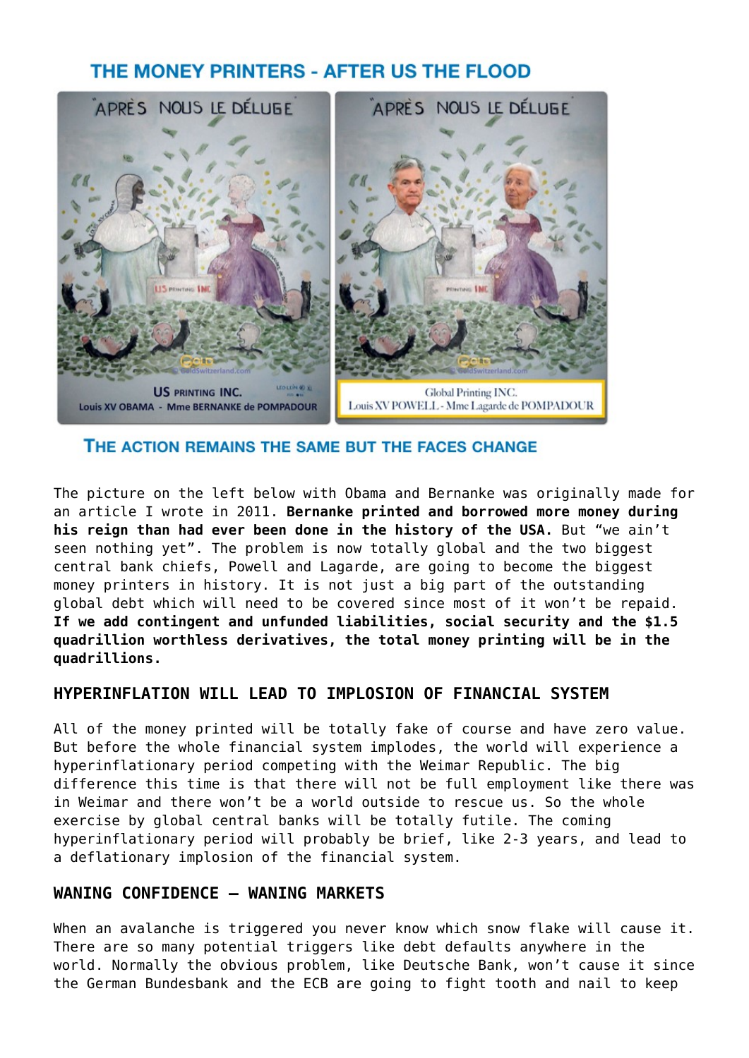# THE MONEY PRINTERS - AFTER US THE FLOOD



THE ACTION REMAINS THE SAME BUT THE FACES CHANGE

The picture on the left below with Obama and Bernanke was originally made for an article I wrote in 2011. **Bernanke printed and borrowed more money during his reign than had ever been done in the history of the USA.** But "we ain't seen nothing yet". The problem is now totally global and the two biggest central bank chiefs, Powell and Lagarde, are going to become the biggest money printers in history. It is not just a big part of the outstanding global debt which will need to be covered since most of it won't be repaid. **If we add contingent and unfunded liabilities, social security and the \$1.5 quadrillion worthless derivatives, the total money printing will be in the quadrillions.**

## **HYPERINFLATION WILL LEAD TO IMPLOSION OF FINANCIAL SYSTEM**

All of the money printed will be totally fake of course and have zero value. But before the whole financial system implodes, the world will experience a hyperinflationary period competing with the Weimar Republic. The big difference this time is that there will not be full employment like there was in Weimar and there won't be a world outside to rescue us. So the whole exercise by global central banks will be totally futile. The coming hyperinflationary period will probably be brief, like 2-3 years, and lead to a deflationary implosion of the financial system.

## **WANING CONFIDENCE – WANING MARKETS**

When an avalanche is triggered you never know which snow flake will cause it. There are so many potential triggers like debt defaults anywhere in the world. Normally the obvious problem, like Deutsche Bank, won't cause it since the German Bundesbank and the ECB are going to fight tooth and nail to keep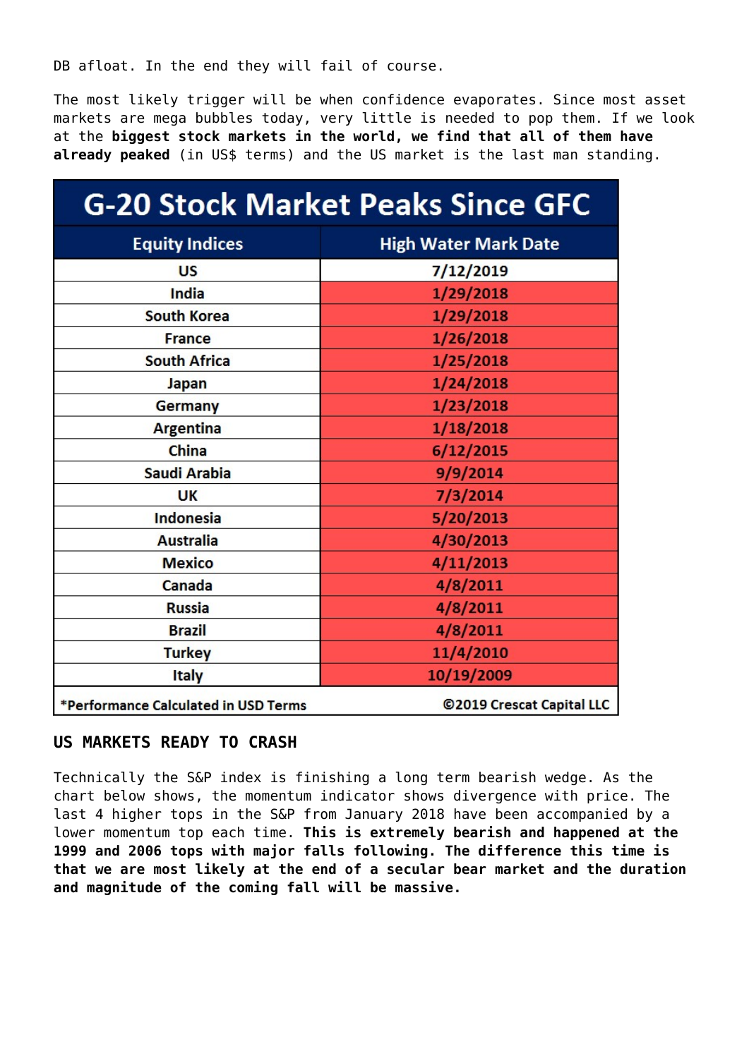DB afloat. In the end they will fail of course.

The most likely trigger will be when confidence evaporates. Since most asset markets are mega bubbles today, very little is needed to pop them. If we look at the **biggest stock markets in the world, we find that all of them have** already peaked (in US\$ terms) and the US market is the last man standing.

| <b>G-20 Stock Market Peaks Since GFC</b> |                             |
|------------------------------------------|-----------------------------|
| <b>Equity Indices</b>                    | <b>High Water Mark Date</b> |
| <b>US</b>                                | 7/12/2019                   |
| India                                    | 1/29/2018                   |
| <b>South Korea</b>                       | 1/29/2018                   |
| <b>France</b>                            | 1/26/2018                   |
| <b>South Africa</b>                      | 1/25/2018                   |
| Japan                                    | 1/24/2018                   |
| Germany                                  | 1/23/2018                   |
| <b>Argentina</b>                         | 1/18/2018                   |
| China                                    | 6/12/2015                   |
| Saudi Arabia                             | 9/9/2014                    |
| <b>UK</b>                                | 7/3/2014                    |
| <b>Indonesia</b>                         | 5/20/2013                   |
| <b>Australia</b>                         | 4/30/2013                   |
| <b>Mexico</b>                            | 4/11/2013                   |
| Canada                                   | 4/8/2011                    |
| <b>Russia</b>                            | 4/8/2011                    |
| <b>Brazil</b>                            | 4/8/2011                    |
| <b>Turkey</b>                            | 11/4/2010                   |
| <b>Italy</b>                             | 10/19/2009                  |
| *Performance Calculated in USD Terms     | ©2019 Crescat Capital LLC   |

## **US MARKETS READY TO CRASH**

Technically the S&P index is finishing a long term bearish wedge. As the chart below shows, the momentum indicator shows divergence with price. The last 4 higher tops in the S&P from January 2018 have been accompanied by a lower momentum top each time. **This is extremely bearish and happened at the 1999 and 2006 tops with major falls following. The difference this time is that we are most likely at the end of a secular bear market and the duration and magnitude of the coming fall will be massive.**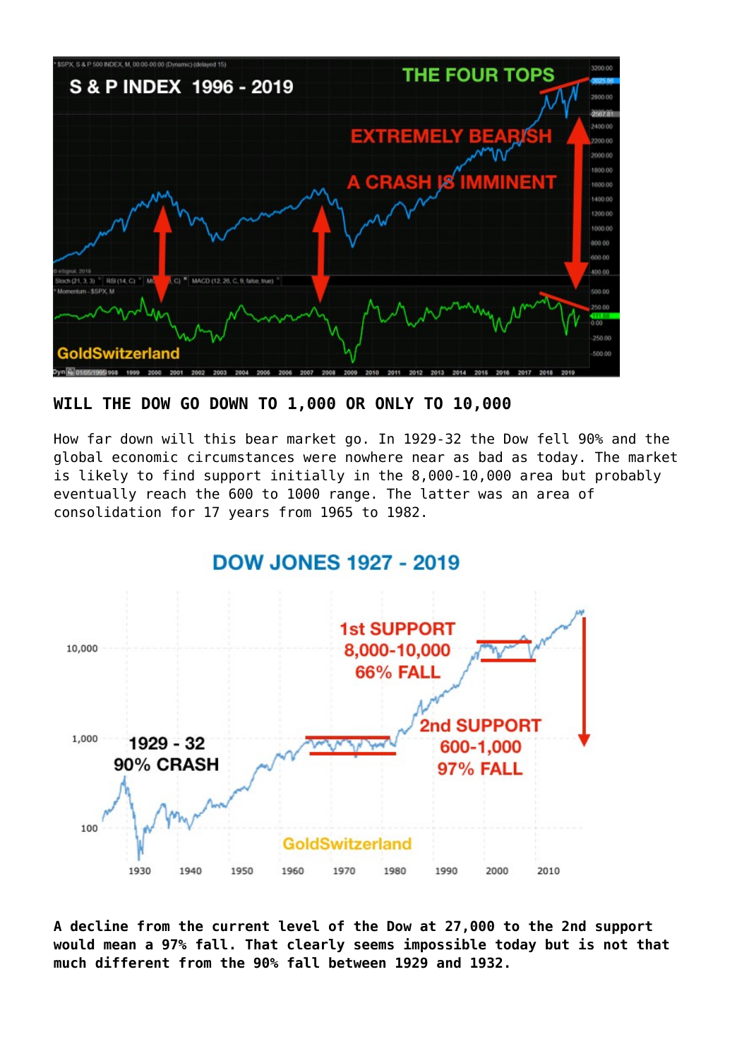

## **WILL THE DOW GO DOWN TO 1,000 OR ONLY TO 10,000**

How far down will this bear market go. In 1929-32 the Dow fell 90% and the global economic circumstances were nowhere near as bad as today. The market is likely to find support initially in the 8,000-10,000 area but probably eventually reach the 600 to 1000 range. The latter was an area of consolidation for 17 years from 1965 to 1982.



**A decline from the current level of the Dow at 27,000 to the 2nd support would mean a 97% fall. That clearly seems impossible today but is not that much different from the 90% fall between 1929 and 1932.**